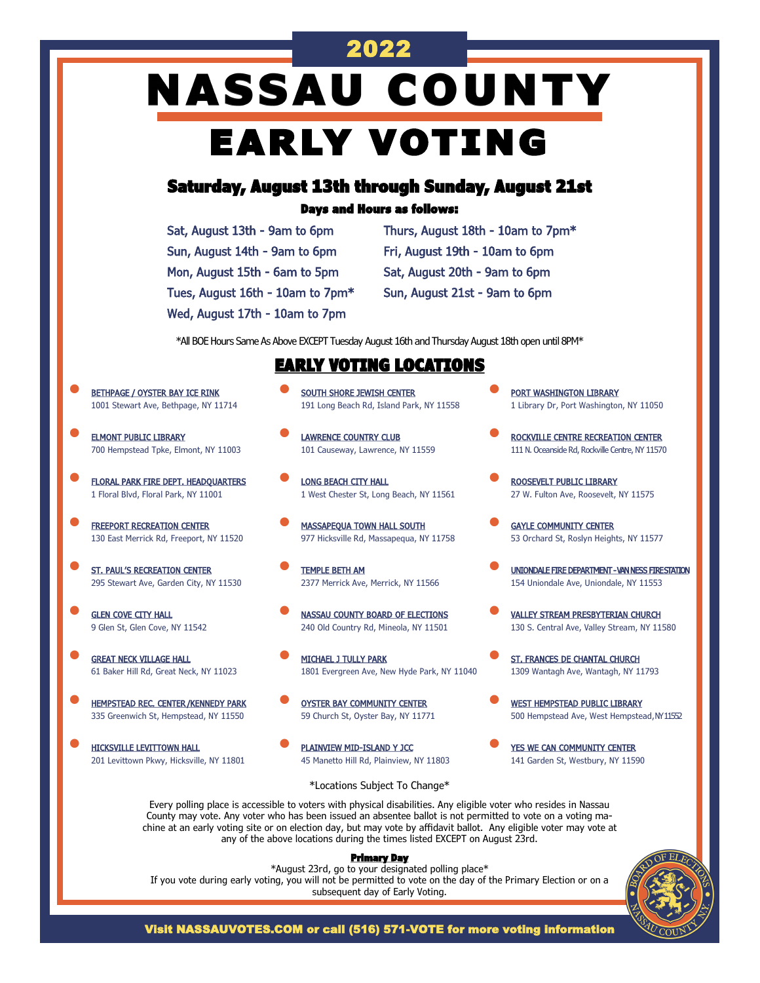# 2022 **NASSAU COUNTY** EARLY VOTING

## Saturday, August 13th through Sunday, August 21st

### Days and Hours as follows:

| Sat, August 13th - 9am to 6pm    |
|----------------------------------|
| Sun, August 14th - 9am to 6pm    |
| Mon, August 15th - 6am to 5pm    |
| Tues, August 16th - 10am to 7pm* |
| Wed, August 17th - 10am to 7pm   |

Thurs, August 18th - 10am to 7pm\* Fri, August 19th - 10am to 6pm Sat, August 20th - 9am to 6pm Sun, August 21st - 9am to 6pm

\*All BOE Hours Same As Above EXCEPT Tuesday August 16th and Thursday August 18th open until 8PM\*

## EARLY VOTING LOCATIONS

- BETHPAGE / OYSTER BAY ICE RINK 1001 Stewart Ave, Bethpage, NY 11714
- **ELMONT PUBLIC LIBRARY** 700 Hempstead Tpke, Elmont, NY 11003
- FLORAL PARK FIRE DEPT. HEADQUARTERS 1 Floral Blvd, Floral Park, NY 11001
- **FREEPORT RECREATION CENTER** 130 East Merrick Rd, Freeport, NY 11520
- **ST. PAUL'S RECREATION CENTER** 295 Stewart Ave, Garden City, NY 11530
- **GLEN COVE CITY HALL** 9 Glen St, Glen Cove, NY 11542
- **GREAT NECK VILLAGE HALL** 61 Baker Hill Rd, Great Neck, NY 11023
- **HEMPSTEAD REC. CENTER/KENNEDY PARK** 335 Greenwich St, Hempstead, NY 11550
- HICKSVILLE LEVITTOWN HALL 201 Levittown Pkwy, Hicksville, NY 11801
- **SOUTH SHORE JEWISH CENTER** 191 Long Beach Rd, Island Park, NY 11558
- **LAWRENCE COUNTRY CLUB** 101 Causeway, Lawrence, NY 11559
- **LONG BEACH CITY HALL** 1 West Chester St, Long Beach, NY 11561
- **MASSAPEQUA TOWN HALL SOUTH** 977 Hicksville Rd, Massapequa, NY 11758
- TEMPLE BETH AM 2377 Merrick Ave, Merrick, NY 11566
- NASSAU COUNTY BOARD OF ELECTIONS 240 Old Country Rd, Mineola, NY 11501
- MICHAEL J TULLY PARK 1801 Evergreen Ave, New Hyde Park, NY 11040
- OYSTER BAY COMMUNITY CENTER 59 Church St, Oyster Bay, NY 11771
- PLAINVIEW MID-ISLAND Y JCC 45 Manetto Hill Rd, Plainview, NY 11803
- PORT WASHINGTON LIBRARY 1 Library Dr, Port Washington, NY 11050
- ROCKVILLE CENTRE RECREATION CENTER 111 N. Oceanside Rd, Rockville Centre, NY 11570
- ROOSEVELT PUBLIC LIBRARY 27 W. Fulton Ave, Roosevelt, NY 11575
- **GAYLE COMMUNITY CENTER** 53 Orchard St, Roslyn Heights, NY 11577
- UNIONDALE FIRE DEPARTMENT VAN NESS FIRE STATION 154 Uniondale Ave, Uniondale, NY 11553
- VALLEY STREAM PRESBYTERIAN CHURCH 130 S. Central Ave, Valley Stream, NY 11580
- ST. FRANCES DE CHANTAL CHURCH 1309 Wantagh Ave, Wantagh, NY 11793
- **WEST HEMPSTEAD PUBLIC LIBRARY** 500 Hempstead Ave, West Hempstead, NY 11552
- YES WE CAN COMMUNITY CENTER 141 Garden St, Westbury, NY 11590

\*Locations Subject To Change\*

Every polling place is accessible to voters with physical disabilities. Any eligible voter who resides in Nassau County may vote. Any voter who has been issued an absentee ballot is not permitted to vote on a voting machine at an early voting site or on election day, but may vote by affidavit ballot. Any eligible voter may vote at any of the above locations during the times listed EXCEPT on August 23rd.

#### Primary Day

\*August 23rd, go to your designated polling place\* If you vote during early voting, you will not be permitted to vote on the day of the Primary Election or on a subsequent day of Early Voting.



Visit NASSAUVOTES.COM or call (516) 571-VOTE for more voting information